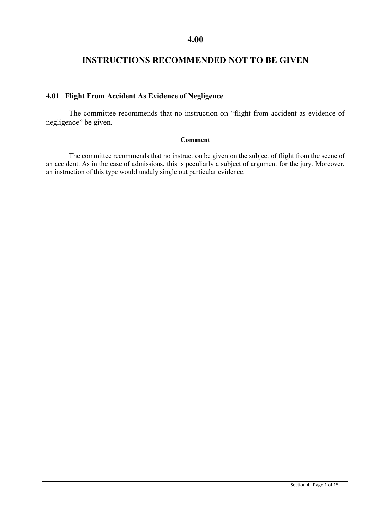# **INSTRUCTIONS RECOMMENDED NOT TO BE GIVEN**

# **4.01 Flight From Accident As Evidence of Negligence**

The committee recommends that no instruction on "flight from accident as evidence of negligence" be given.

### **Comment**

The committee recommends that no instruction be given on the subject of flight from the scene of an accident. As in the case of admissions, this is peculiarly a subject of argument for the jury. Moreover, an instruction of this type would unduly single out particular evidence.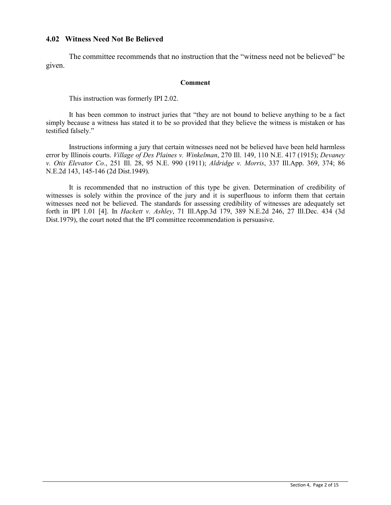## **4.02 Witness Need Not Be Believed**

The committee recommends that no instruction that the "witness need not be believed" be given.

### **Comment**

This instruction was formerly IPI 2.02.

It has been common to instruct juries that "they are not bound to believe anything to be a fact simply because a witness has stated it to be so provided that they believe the witness is mistaken or has testified falsely."

Instructions informing a jury that certain witnesses need not be believed have been held harmless error by Illinois courts. *Village of Des Plaines v. Winkelman*, 270 Ill. 149, 110 N.E. 417 (1915); *Devaney v. Otis Elevator Co.*, 251 Ill. 28, 95 N.E. 990 (1911); *Aldridge v. Morris*, 337 Ill.App. 369, 374; 86 N.E.2d 143, 145-146 (2d Dist.1949).

It is recommended that no instruction of this type be given. Determination of credibility of witnesses is solely within the province of the jury and it is superfluous to inform them that certain witnesses need not be believed. The standards for assessing credibility of witnesses are adequately set forth in IPI 1.01 [4]. In *Hackett v. Ashley*, 71 Ill.App.3d 179, 389 N.E.2d 246, 27 Ill.Dec. 434 (3d Dist.1979), the court noted that the IPI committee recommendation is persuasive.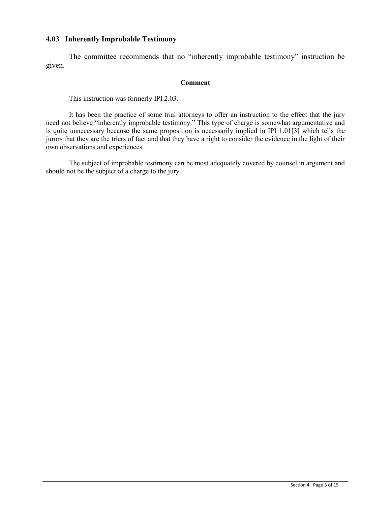## **4.03 Inherently Improbable Testimony**

The committee recommends that no "inherently improbable testimony" instruction be given.

### **Comment**

This instruction was formerly IPI 2.03.

It has been the practice of some trial attorneys to offer an instruction to the effect that the jury need not believe "inherently improbable testimony." This type of charge is somewhat argumentative and is quite unnecessary because the same proposition is necessarily implied in IPI 1.01[3] which tells the jurors that they are the triers of fact and that they have a right to consider the evidence in the light of their own observations and experiences.

The subject of improbable testimony can be most adequately covered by counsel in argument and should not be the subject of a charge to the jury.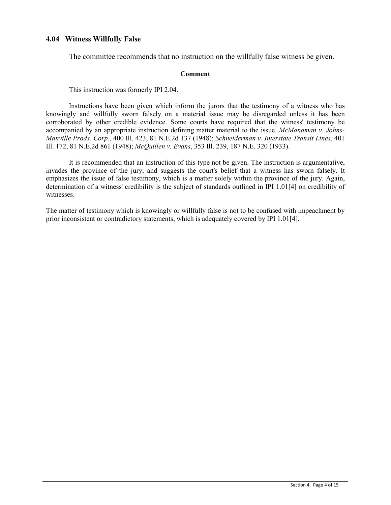## **4.04 Witness Willfully False**

The committee recommends that no instruction on the willfully false witness be given.

### **Comment**

This instruction was formerly IPI 2.04.

Instructions have been given which inform the jurors that the testimony of a witness who has knowingly and willfully sworn falsely on a material issue may be disregarded unless it has been corroborated by other credible evidence. Some courts have required that the witness' testimony be accompanied by an appropriate instruction defining matter material to the issue. *McManaman v. Johns-Manville Prods. Corp.*, 400 Ill. 423, 81 N.E.2d 137 (1948); *Schneiderman v. Interstate Transit Lines*, 401 Ill. 172, 81 N.E.2d 861 (1948); *McQuillen v. Evans*, 353 Ill. 239, 187 N.E. 320 (1933).

It is recommended that an instruction of this type not be given. The instruction is argumentative, invades the province of the jury, and suggests the court's belief that a witness has sworn falsely. It emphasizes the issue of false testimony, which is a matter solely within the province of the jury. Again, determination of a witness' credibility is the subject of standards outlined in IPI 1.01[4] on credibility of witnesses.

The matter of testimony which is knowingly or willfully false is not to be confused with impeachment by prior inconsistent or contradictory statements, which is adequately covered by IPI 1.01[4].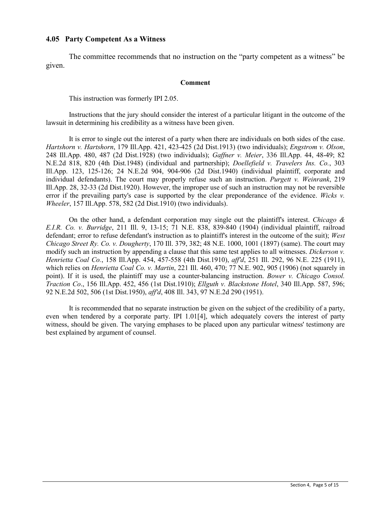### **4.05 Party Competent As a Witness**

The committee recommends that no instruction on the "party competent as a witness" be given.

### **Comment**

This instruction was formerly IPI 2.05.

Instructions that the jury should consider the interest of a particular litigant in the outcome of the lawsuit in determining his credibility as a witness have been given.

It is error to single out the interest of a party when there are individuals on both sides of the case. *Hartshorn v. Hartshorn*, 179 Ill.App. 421, 423-425 (2d Dist.1913) (two individuals); *Engstrom v. Olson*, 248 Ill.App. 480, 487 (2d Dist.1928) (two individuals); *Gaffner v. Meier*, 336 Ill.App. 44, 48-49; 82 N.E.2d 818, 820 (4th Dist.1948) (individual and partnership); *Doellefield v. Travelers Ins. Co.*, 303 Ill.App. 123, 125-126; 24 N.E.2d 904, 904-906 (2d Dist.1940) (individual plaintiff, corporate and individual defendants). The court may properly refuse such an instruction. *Purgett v. Weinrank*, 219 Ill.App. 28, 32-33 (2d Dist.1920). However, the improper use of such an instruction may not be reversible error if the prevailing party's case is supported by the clear preponderance of the evidence. *Wicks v. Wheeler*, 157 Ill.App. 578, 582 (2d Dist.1910) (two individuals).

On the other hand, a defendant corporation may single out the plaintiff's interest. *Chicago & E.I.R. Co. v. Burridge*, 211 Ill. 9, 13-15; 71 N.E. 838, 839-840 (1904) (individual plaintiff, railroad defendant; error to refuse defendant's instruction as to plaintiff's interest in the outcome of the suit); *West Chicago Street Ry. Co. v. Dougherty*, 170 Ill. 379, 382; 48 N.E. 1000, 1001 (1897) (same). The court may modify such an instruction by appending a clause that this same test applies to all witnesses. *Dickerson v. Henrietta Coal Co.*, 158 Ill.App. 454, 457-558 (4th Dist.1910), *aff'd*, 251 Ill. 292, 96 N.E. 225 (1911), which relies on *Henrietta Coal Co. v. Martin*, 221 Ill. 460, 470; 77 N.E. 902, 905 (1906) (not squarely in point). If it is used, the plaintiff may use a counter-balancing instruction. *Bower v. Chicago Consol. Traction Co*., 156 Ill.App. 452, 456 (1st Dist.1910); *Ellguth v. Blackstone Hotel*, 340 Ill.App. 587, 596; 92 N.E.2d 502, 506 (1st Dist.1950), *aff'd*, 408 Ill. 343, 97 N.E.2d 290 (1951).

It is recommended that no separate instruction be given on the subject of the credibility of a party, even when tendered by a corporate party. IPI 1.01[4], which adequately covers the interest of party witness, should be given. The varying emphases to be placed upon any particular witness' testimony are best explained by argument of counsel.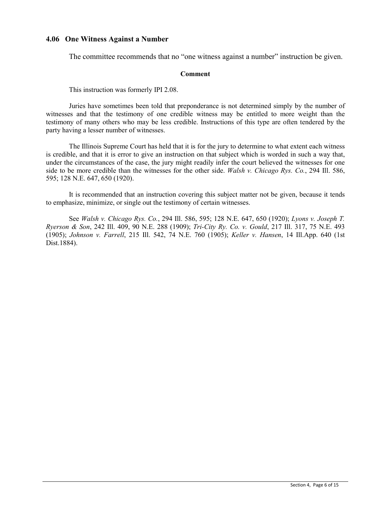### **4.06 One Witness Against a Number**

The committee recommends that no "one witness against a number" instruction be given.

### **Comment**

This instruction was formerly IPI 2.08.

Juries have sometimes been told that preponderance is not determined simply by the number of witnesses and that the testimony of one credible witness may be entitled to more weight than the testimony of many others who may be less credible. Instructions of this type are often tendered by the party having a lesser number of witnesses.

The Illinois Supreme Court has held that it is for the jury to determine to what extent each witness is credible, and that it is error to give an instruction on that subject which is worded in such a way that, under the circumstances of the case, the jury might readily infer the court believed the witnesses for one side to be more credible than the witnesses for the other side. *Walsh v. Chicago Rys. Co.*, 294 Ill. 586, 595; 128 N.E. 647, 650 (1920).

It is recommended that an instruction covering this subject matter not be given, because it tends to emphasize, minimize, or single out the testimony of certain witnesses.

See *Walsh v. Chicago Rys. Co.*, 294 Ill. 586, 595; 128 N.E. 647, 650 (1920); *Lyons v. Joseph T. Ryerson & Son*, 242 Ill. 409, 90 N.E. 288 (1909); *Tri-City Ry. Co. v. Gould*, 217 Ill. 317, 75 N.E. 493 (1905); *Johnson v. Farrell*, 215 Ill. 542, 74 N.E. 760 (1905); *Keller v. Hansen*, 14 Ill.App. 640 (1st Dist.1884).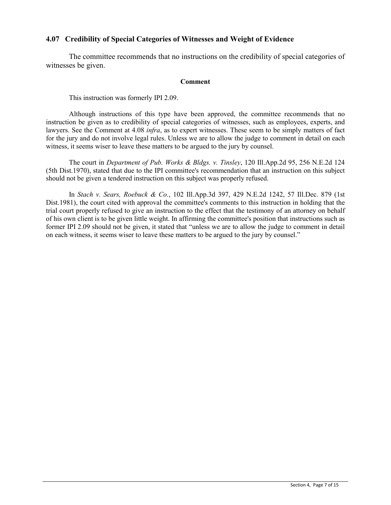# **4.07 Credibility of Special Categories of Witnesses and Weight of Evidence**

The committee recommends that no instructions on the credibility of special categories of witnesses be given.

### **Comment**

This instruction was formerly IPI 2.09.

Although instructions of this type have been approved, the committee recommends that no instruction be given as to credibility of special categories of witnesses, such as employees, experts, and lawyers. See the Comment at 4.08 *infra*, as to expert witnesses. These seem to be simply matters of fact for the jury and do not involve legal rules. Unless we are to allow the judge to comment in detail on each witness, it seems wiser to leave these matters to be argued to the jury by counsel.

The court in *Department of Pub. Works & Bldgs. v. Tinsley*, 120 Ill.App.2d 95, 256 N.E.2d 124 (5th Dist.1970), stated that due to the IPI committee's recommendation that an instruction on this subject should not be given a tendered instruction on this subject was properly refused.

In *Stach v. Sears, Roebuck & Co.*, 102 Ill.App.3d 397, 429 N.E.2d 1242, 57 Ill.Dec. 879 (1st Dist.1981), the court cited with approval the committee's comments to this instruction in holding that the trial court properly refused to give an instruction to the effect that the testimony of an attorney on behalf of his own client is to be given little weight. In affirming the committee's position that instructions such as former IPI 2.09 should not be given, it stated that "unless we are to allow the judge to comment in detail on each witness, it seems wiser to leave these matters to be argued to the jury by counsel."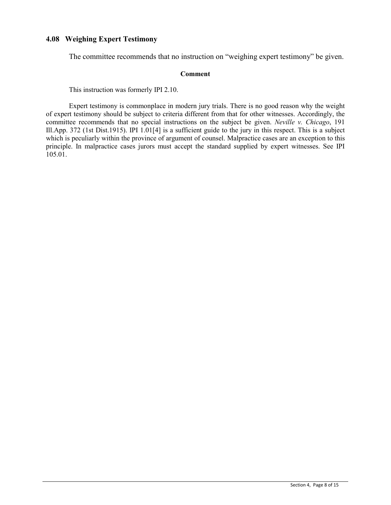# **4.08 Weighing Expert Testimony**

The committee recommends that no instruction on "weighing expert testimony" be given.

### **Comment**

This instruction was formerly IPI 2.10.

Expert testimony is commonplace in modern jury trials. There is no good reason why the weight of expert testimony should be subject to criteria different from that for other witnesses. Accordingly, the committee recommends that no special instructions on the subject be given. *Neville v. Chicago*, 191 Ill.App. 372 (1st Dist.1915). IPI 1.01[4] is a sufficient guide to the jury in this respect. This is a subject which is peculiarly within the province of argument of counsel. Malpractice cases are an exception to this principle. In malpractice cases jurors must accept the standard supplied by expert witnesses. See IPI 105.01.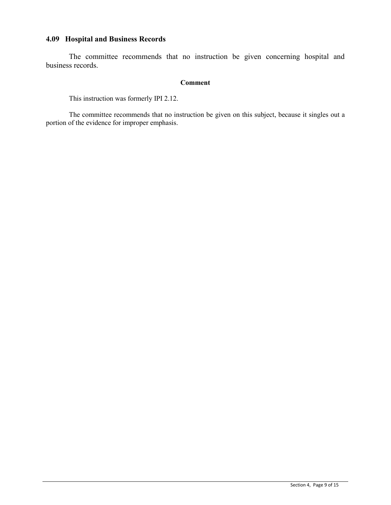# **4.09 Hospital and Business Records**

The committee recommends that no instruction be given concerning hospital and business records.

# **Comment**

This instruction was formerly IPI 2.12.

The committee recommends that no instruction be given on this subject, because it singles out a portion of the evidence for improper emphasis.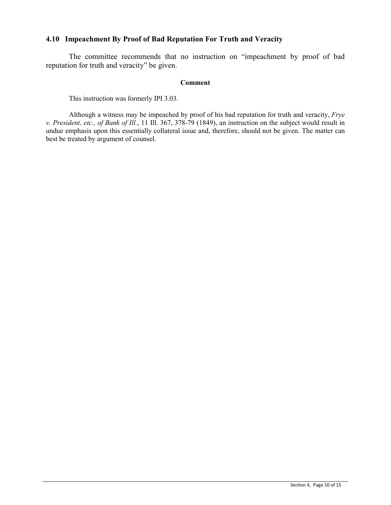# **4.10 Impeachment By Proof of Bad Reputation For Truth and Veracity**

The committee recommends that no instruction on "impeachment by proof of bad reputation for truth and veracity" be given.

### **Comment**

This instruction was formerly IPI 3.03.

Although a witness may be impeached by proof of his bad reputation for truth and veracity, *Frye v. President, etc., of Bank of Ill.*, 11 Ill. 367, 378-79 (1849), an instruction on the subject would result in undue emphasis upon this essentially collateral issue and, therefore, should not be given. The matter can best be treated by argument of counsel.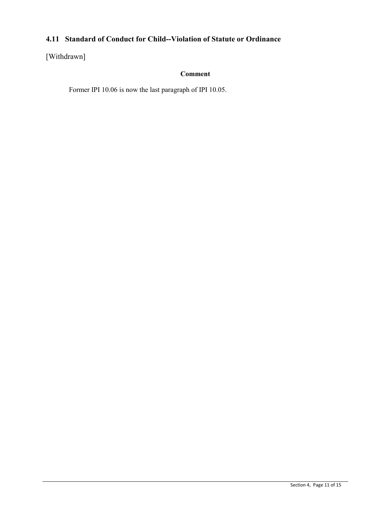# **4.11 Standard of Conduct for Child--Violation of Statute or Ordinance**

# [Withdrawn]

# **Comment**

Former IPI 10.06 is now the last paragraph of IPI 10.05.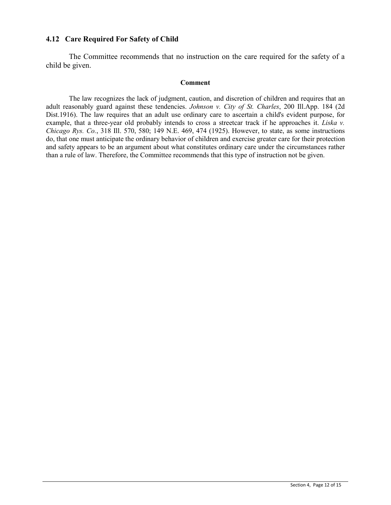# **4.12 Care Required For Safety of Child**

The Committee recommends that no instruction on the care required for the safety of a child be given.

### **Comment**

The law recognizes the lack of judgment, caution, and discretion of children and requires that an adult reasonably guard against these tendencies. *Johnson v. City of St. Charles*, 200 Ill.App. 184 (2d Dist.1916). The law requires that an adult use ordinary care to ascertain a child's evident purpose, for example, that a three-year old probably intends to cross a streetcar track if he approaches it. *Liska v. Chicago Rys. Co.*, 318 Ill. 570, 580; 149 N.E. 469, 474 (1925). However, to state, as some instructions do, that one must anticipate the ordinary behavior of children and exercise greater care for their protection and safety appears to be an argument about what constitutes ordinary care under the circumstances rather than a rule of law. Therefore, the Committee recommends that this type of instruction not be given.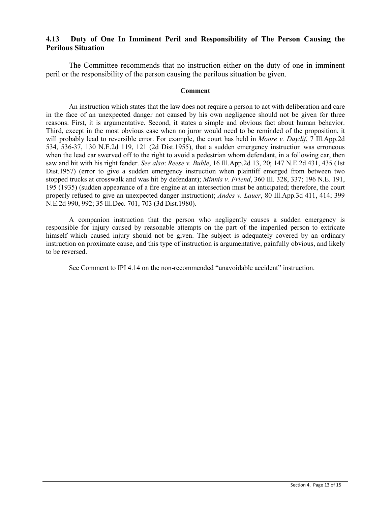# **4.13 Duty of One In Imminent Peril and Responsibility of The Person Causing the Perilous Situation**

The Committee recommends that no instruction either on the duty of one in imminent peril or the responsibility of the person causing the perilous situation be given.

#### **Comment**

An instruction which states that the law does not require a person to act with deliberation and care in the face of an unexpected danger not caused by his own negligence should not be given for three reasons. First, it is argumentative. Second, it states a simple and obvious fact about human behavior. Third, except in the most obvious case when no juror would need to be reminded of the proposition, it will probably lead to reversible error. For example, the court has held in *Moore v. Daydif*, 7 Ill.App.2d 534, 536-37, 130 N.E.2d 119, 121 (2d Dist.1955), that a sudden emergency instruction was erroneous when the lead car swerved off to the right to avoid a pedestrian whom defendant, in a following car, then saw and hit with his right fender. *See also*: *Reese v. Buhle*, 16 Ill.App.2d 13, 20; 147 N.E.2d 431, 435 (1st Dist.1957) (error to give a sudden emergency instruction when plaintiff emerged from between two stopped trucks at crosswalk and was hit by defendant); *Minnis v. Friend*, 360 Ill. 328, 337; 196 N.E. 191, 195 (1935) (sudden appearance of a fire engine at an intersection must be anticipated; therefore, the court properly refused to give an unexpected danger instruction); *Andes v. Lauer*, 80 Ill.App.3d 411, 414; 399 N.E.2d 990, 992; 35 Ill.Dec. 701, 703 (3d Dist.1980).

A companion instruction that the person who negligently causes a sudden emergency is responsible for injury caused by reasonable attempts on the part of the imperiled person to extricate himself which caused injury should not be given. The subject is adequately covered by an ordinary instruction on proximate cause, and this type of instruction is argumentative, painfully obvious, and likely to be reversed.

See Comment to IPI 4.14 on the non-recommended "unavoidable accident" instruction.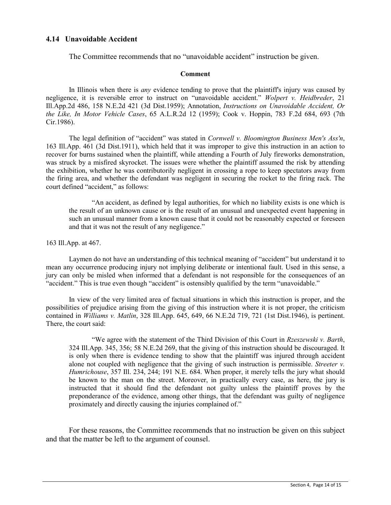# **4.14 Unavoidable Accident**

The Committee recommends that no "unavoidable accident" instruction be given.

#### **Comment**

In Illinois when there is *any* evidence tending to prove that the plaintiff's injury was caused by negligence, it is reversible error to instruct on "unavoidable accident." *Wolpert v. Heidbreder*, 21 Ill.App.2d 486, 158 N.E.2d 421 (3d Dist.1959); Annotation, *Instructions on Unavoidable Accident, Or the Like, In Motor Vehicle Cases*, 65 A.L.R.2d 12 (1959); Cook v. Hoppin, 783 F.2d 684, 693 (7th Cir.1986).

The legal definition of "accident" was stated in *Cornwell v. Bloomington Business Men's Ass'n*, 163 Ill.App. 461 (3d Dist.1911), which held that it was improper to give this instruction in an action to recover for burns sustained when the plaintiff, while attending a Fourth of July fireworks demonstration, was struck by a misfired skyrocket. The issues were whether the plaintiff assumed the risk by attending the exhibition, whether he was contributorily negligent in crossing a rope to keep spectators away from the firing area, and whether the defendant was negligent in securing the rocket to the firing rack. The court defined "accident," as follows:

"An accident, as defined by legal authorities, for which no liability exists is one which is the result of an unknown cause or is the result of an unusual and unexpected event happening in such an unusual manner from a known cause that it could not be reasonably expected or foreseen and that it was not the result of any negligence."

163 Ill.App. at 467.

Laymen do not have an understanding of this technical meaning of "accident" but understand it to mean any occurrence producing injury not implying deliberate or intentional fault. Used in this sense, a jury can only be misled when informed that a defendant is not responsible for the consequences of an "accident." This is true even though "accident" is ostensibly qualified by the term "unavoidable."

In view of the very limited area of factual situations in which this instruction is proper, and the possibilities of prejudice arising from the giving of this instruction where it is not proper, the criticism contained in *Williams v. Matlin*, 328 Ill.App. 645, 649, 66 N.E.2d 719, 721 (1st Dist.1946), is pertinent. There, the court said:

"We agree with the statement of the Third Division of this Court in *Rzeszewski v. Barth*, 324 Ill.App. 345, 356; 58 N.E.2d 269, that the giving of this instruction should be discouraged. It is only when there is evidence tending to show that the plaintiff was injured through accident alone not coupled with negligence that the giving of such instruction is permissible. *Streeter v. Humrichouse*, 357 Ill. 234, 244; 191 N.E. 684. When proper, it merely tells the jury what should be known to the man on the street. Moreover, in practically every case, as here, the jury is instructed that it should find the defendant not guilty unless the plaintiff proves by the preponderance of the evidence, among other things, that the defendant was guilty of negligence proximately and directly causing the injuries complained of."

For these reasons, the Committee recommends that no instruction be given on this subject and that the matter be left to the argument of counsel.